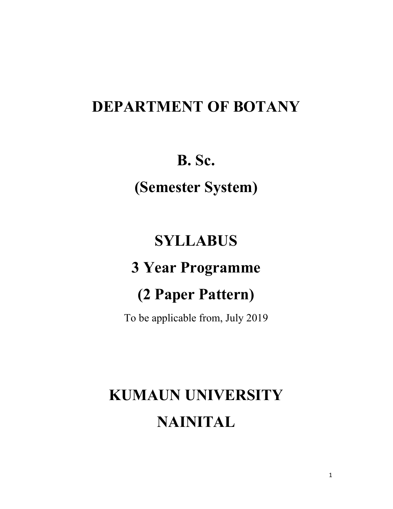## DEPARTMENT OF BOTANY

## B. Sc.

(Semester System)

## **SYLLABUS**

## 3 Year Programme

## (2 Paper Pattern)

To be applicable from, July 2019

# KUMAUN UNIVERSITY NAINITAL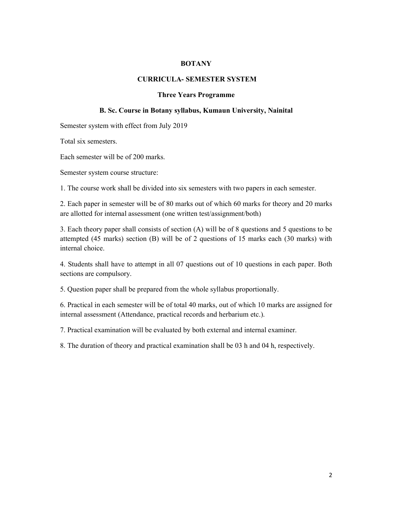#### BOTANY

#### CURRICULA- SEMESTER SYSTEM

#### Three Years Programme

#### B. Sc. Course in Botany syllabus, Kumaun University, Nainital

Semester system with effect from July 2019

Total six semesters.

Each semester will be of 200 marks.

Semester system course structure:

1. The course work shall be divided into six semesters with two papers in each semester.

2. Each paper in semester will be of 80 marks out of which 60 marks for theory and 20 marks are allotted for internal assessment (one written test/assignment/both)

3. Each theory paper shall consists of section (A) will be of 8 questions and 5 questions to be attempted (45 marks) section (B) will be of 2 questions of 15 marks each (30 marks) with internal choice.

4. Students shall have to attempt in all 07 questions out of 10 questions in each paper. Both sections are compulsory.

5. Question paper shall be prepared from the whole syllabus proportionally.

6. Practical in each semester will be of total 40 marks, out of which 10 marks are assigned for internal assessment (Attendance, practical records and herbarium etc.).

7. Practical examination will be evaluated by both external and internal examiner.

8. The duration of theory and practical examination shall be 03 h and 04 h, respectively.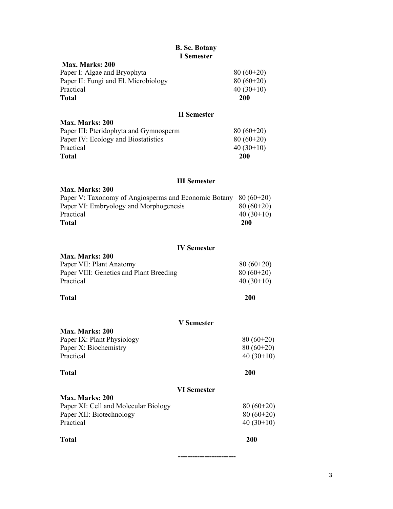### B. Sc. Botany I Semester

| т эмплэгл  |                                           |
|------------|-------------------------------------------|
|            |                                           |
|            |                                           |
|            |                                           |
|            |                                           |
| <b>200</b> |                                           |
|            | $80(60+20)$<br>$80(60+20)$<br>$40(30+10)$ |

#### II Semester

| Max. Marks: 200                        |             |
|----------------------------------------|-------------|
| Paper III: Pteridophyta and Gymnosperm | $80(60+20)$ |
| Paper IV: Ecology and Biostatistics    | $80(60+20)$ |
| Practical                              | $40(30+10)$ |
| <b>Total</b>                           | <b>200</b>  |

### III Semester

| Max. Marks: 200                                                   |             |
|-------------------------------------------------------------------|-------------|
| Paper V: Taxonomy of Angiosperms and Economic Botany $80 (60+20)$ |             |
| Paper VI: Embryology and Morphogenesis                            | $80(60+20)$ |
| Practical                                                         | $40(30+10)$ |
| Total                                                             | 200         |

## IV Semester

| Max. Marks: 200                         |             |
|-----------------------------------------|-------------|
| Paper VII: Plant Anatomy                | $80(60+20)$ |
| Paper VIII: Genetics and Plant Breeding | $80(60+20)$ |
| Practical                               | $40(30+10)$ |
|                                         |             |

Total 200

| <b>V</b> Semester                    |             |
|--------------------------------------|-------------|
| <b>Max. Marks: 200</b>               |             |
| Paper IX: Plant Physiology           | $80(60+20)$ |
| Paper X: Biochemistry                | $80(60+20)$ |
| Practical                            | $40(30+10)$ |
| Total                                | <b>200</b>  |
| <b>VI</b> Semester                   |             |
| Max. Marks: 200                      |             |
| Paper XI: Cell and Molecular Biology | $80(60+20)$ |
| Paper XII: Biotechnology             | $80(60+20)$ |
| Practical                            | $40(30+10)$ |
| Total                                | 200         |

------------------------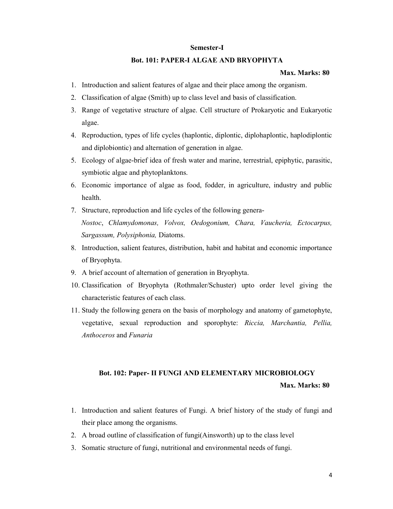#### Semester-I

#### Bot. 101: PAPER-I ALGAE AND BRYOPHYTA

#### Max. Marks: 80

- 1. Introduction and salient features of algae and their place among the organism.
- 2. Classification of algae (Smith) up to class level and basis of classification.
- 3. Range of vegetative structure of algae. Cell structure of Prokaryotic and Eukaryotic algae.
- 4. Reproduction, types of life cycles (haplontic, diplontic, diplohaplontic, haplodiplontic and diplobiontic) and alternation of generation in algae.
- 5. Ecology of algae-brief idea of fresh water and marine, terrestrial, epiphytic, parasitic, symbiotic algae and phytoplanktons.
- 6. Economic importance of algae as food, fodder, in agriculture, industry and public health.
- 7. Structure, reproduction and life cycles of the following genera-Nostoc, Chlamydomonas, Volvox, Oedogonium, Chara, Vaucheria, Ectocarpus, Sargassum, Polysiphonia, Diatoms.
- 8. Introduction, salient features, distribution, habit and habitat and economic importance of Bryophyta.
- 9. A brief account of alternation of generation in Bryophyta.
- 10. Classification of Bryophyta (Rothmaler/Schuster) upto order level giving the characteristic features of each class.
- 11. Study the following genera on the basis of morphology and anatomy of gametophyte, vegetative, sexual reproduction and sporophyte: Riccia, Marchantia, Pellia, Anthoceros and Funaria

## Bot. 102: Paper- II FUNGI AND ELEMENTARY MICROBIOLOGY Max. Marks: 80

- 1. Introduction and salient features of Fungi. A brief history of the study of fungi and their place among the organisms.
- 2. A broad outline of classification of fungi(Ainsworth) up to the class level
- 3. Somatic structure of fungi, nutritional and environmental needs of fungi.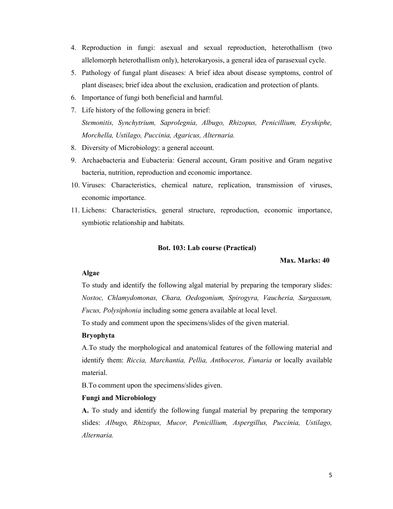- 4. Reproduction in fungi: asexual and sexual reproduction, heterothallism (two allelomorph heterothallism only), heterokaryosis, a general idea of parasexual cycle.
- 5. Pathology of fungal plant diseases: A brief idea about disease symptoms, control of plant diseases; brief idea about the exclusion, eradication and protection of plants.
- 6. Importance of fungi both beneficial and harmful.
- 7. Life history of the following genera in brief: Stemonitis, Synchytrium, Saprolegnia, Albugo, Rhizopus, Penicillium, Eryshiphe, Morchella, Ustilago, Puccinia, Agaricus, Alternaria.
- 8. Diversity of Microbiology: a general account.
- 9. Archaebacteria and Eubacteria: General account, Gram positive and Gram negative bacteria, nutrition, reproduction and economic importance.
- 10. Viruses: Characteristics, chemical nature, replication, transmission of viruses, economic importance.
- 11. Lichens: Characteristics, general structure, reproduction, economic importance, symbiotic relationship and habitats.

#### Bot. 103: Lab course (Practical)

#### Max. Marks: 40

#### Algae

To study and identify the following algal material by preparing the temporary slides: Nostoc, Chlamydomonas, Chara, Oedogonium, Spirogyra, Vaucheria, Sargassum, Fucus, Polysiphonia including some genera available at local level.

To study and comment upon the specimens/slides of the given material.

#### Bryophyta

A.To study the morphological and anatomical features of the following material and identify them: Riccia, Marchantia, Pellia, Anthoceros, Funaria or locally available material.

B.To comment upon the specimens/slides given.

#### Fungi and Microbiology

A. To study and identify the following fungal material by preparing the temporary slides: Albugo, Rhizopus, Mucor, Penicillium, Aspergillus, Puccinia, Ustilago, Alternaria.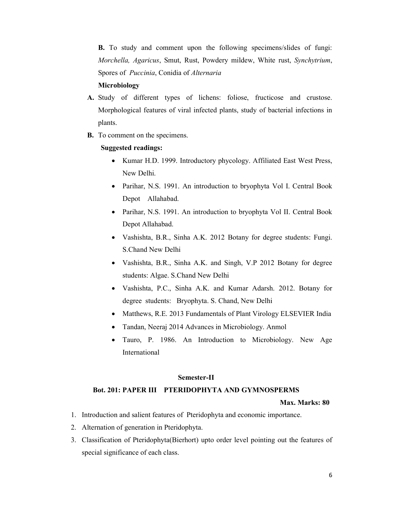B. To study and comment upon the following specimens/slides of fungi: Morchella, Agaricus, Smut, Rust, Powdery mildew, White rust, Synchytrium, Spores of Puccinia, Conidia of Alternaria

#### Microbiology

- A. Study of different types of lichens: foliose, fructicose and crustose. Morphological features of viral infected plants, study of bacterial infections in plants.
- B. To comment on the specimens.

#### Suggested readings:

- Kumar H.D. 1999. Introductory phycology. Affiliated East West Press, New Delhi.
- Parihar, N.S. 1991. An introduction to bryophyta Vol I. Central Book Depot Allahabad.
- Parihar, N.S. 1991. An introduction to bryophyta Vol II. Central Book Depot Allahabad.
- Vashishta, B.R., Sinha A.K. 2012 Botany for degree students: Fungi. S.Chand New Delhi
- Vashishta, B.R., Sinha A.K. and Singh, V.P 2012 Botany for degree students: Algae. S.Chand New Delhi
- Vashishta, P.C., Sinha A.K. and Kumar Adarsh. 2012. Botany for degree students: Bryophyta. S. Chand, New Delhi
- Matthews, R.E. 2013 Fundamentals of Plant Virology ELSEVIER India
- Tandan, Neeraj 2014 Advances in Microbiology. Anmol
- Tauro, P. 1986. An Introduction to Microbiology. New Age International

#### Semester-II

#### Bot. 201: PAPER III PTERIDOPHYTA AND GYMNOSPERMS

- 1. Introduction and salient features of Pteridophyta and economic importance.
- 2. Alternation of generation in Pteridophyta.
- 3. Classification of Pteridophyta(Bierhort) upto order level pointing out the features of special significance of each class.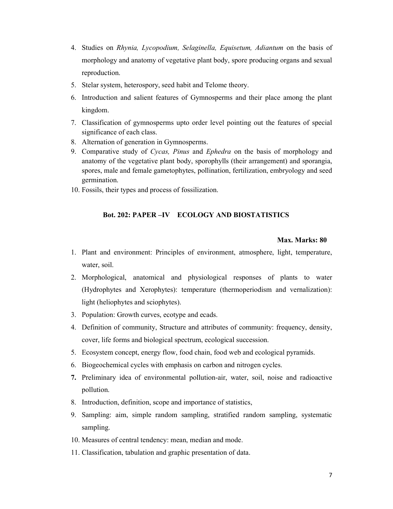- 4. Studies on Rhynia, Lycopodium, Selaginella, Equisetum, Adiantum on the basis of morphology and anatomy of vegetative plant body, spore producing organs and sexual reproduction.
- 5. Stelar system, heterospory, seed habit and Telome theory.
- 6. Introduction and salient features of Gymnosperms and their place among the plant kingdom.
- 7. Classification of gymnosperms upto order level pointing out the features of special significance of each class.
- 8. Alternation of generation in Gymnosperms.
- 9. Comparative study of Cycas, Pinus and Ephedra on the basis of morphology and anatomy of the vegetative plant body, sporophylls (their arrangement) and sporangia, spores, male and female gametophytes, pollination, fertilization, embryology and seed germination.
- 10. Fossils, their types and process of fossilization.

### Bot. 202: PAPER –IV ECOLOGY AND BIOSTATISTICS

- 1. Plant and environment: Principles of environment, atmosphere, light, temperature, water, soil.
- 2. Morphological, anatomical and physiological responses of plants to water (Hydrophytes and Xerophytes): temperature (thermoperiodism and vernalization): light (heliophytes and sciophytes).
- 3. Population: Growth curves, ecotype and ecads.
- 4. Definition of community, Structure and attributes of community: frequency, density, cover, life forms and biological spectrum, ecological succession.
- 5. Ecosystem concept, energy flow, food chain, food web and ecological pyramids.
- 6. Biogeochemical cycles with emphasis on carbon and nitrogen cycles.
- 7. Preliminary idea of environmental pollution-air, water, soil, noise and radioactive pollution.
- 8. Introduction, definition, scope and importance of statistics,
- 9. Sampling: aim, simple random sampling, stratified random sampling, systematic sampling.
- 10. Measures of central tendency: mean, median and mode.
- 11. Classification, tabulation and graphic presentation of data.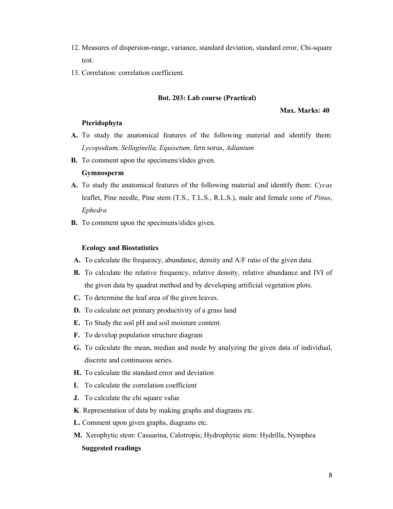- 12. Measures of dispersion-range, variance, standard deviation, standard error, Chi-square test.
- 13. Correlation: correlation coefficient.

#### Bot. 203: Lab course (Practical)

#### Max. Marks: 40

#### Pteridophyta

- A. To study the anatomical features of the following material and identify them: Lycopodium, Sellaginella, Equisetum, fern sorus, Adiantum
- B. To comment upon the specimens/slides given.

#### Gymnosperm

- A. To study the anatomical features of the following material and identify them: Cycas leaflet, Pine needle, Pine stem (T.S., T.L.S., R.L.S.), male and female cone of Pinus, Ephedra
- B. To comment upon the specimens/slides given.

#### Ecology and Biostatistics

- A. To calculate the frequency, abundance, density and A/F ratio of the given data.
- B. To calculate the relative frequency, relative density, relative abundance and IVI of the given data by quadrat method and by developing artificial vegetation plots.
- C. To determine the leaf area of the given leaves.
- D. To calculate net primary productivity of a grass land
- E. To Study the soil pH and soil moisture content.
- F. To develop population structure diagram
- G. To calculate the mean, median and mode by analyzing the given data of individual, discrete and continuous series.
- H. To calculate the standard error and deviation
- I. To calculate the correlation coefficient
- J. To calculate the chi square value
- K. Representation of data by making graphs and diagrams etc.
- L. Comment upon given graphs, diagrams etc.
- M. Xerophytic stem: Casuarina, Calotropis; Hydrophytic stem: Hydrilla, Nymphea Suggested readings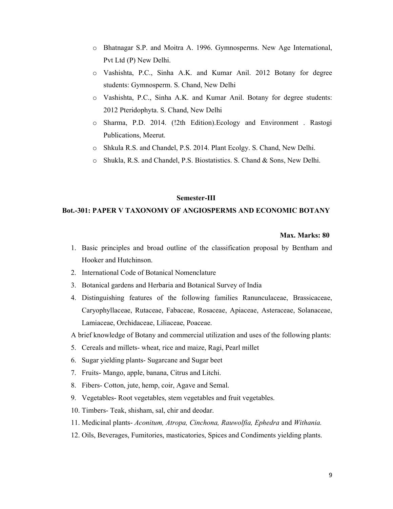- o Bhatnagar S.P. and Moitra A. 1996. Gymnosperms. New Age International, Pvt Ltd (P) New Delhi.
- o Vashishta, P.C., Sinha A.K. and Kumar Anil. 2012 Botany for degree students: Gymnosperm. S. Chand, New Delhi
- o Vashishta, P.C., Sinha A.K. and Kumar Anil. Botany for degree students: 2012 Pteridophyta. S. Chand, New Delhi
- o Sharma, P.D. 2014. (!2th Edition).Ecology and Environment . Rastogi Publications, Meerut.
- o Shkula R.S. and Chandel, P.S. 2014. Plant Ecolgy. S. Chand, New Delhi.
- o Shukla, R.S. and Chandel, P.S. Biostatistics. S. Chand & Sons, New Delhi.

#### Semester-III

#### Bot.-301: PAPER V TAXONOMY OF ANGIOSPERMS AND ECONOMIC BOTANY

#### Max. Marks: 80

- 1. Basic principles and broad outline of the classification proposal by Bentham and Hooker and Hutchinson.
- 2. International Code of Botanical Nomenclature
- 3. Botanical gardens and Herbaria and Botanical Survey of India
- 4. Distinguishing features of the following families Ranunculaceae, Brassicaceae, Caryophyllaceae, Rutaceae, Fabaceae, Rosaceae, Apiaceae, Asteraceae, Solanaceae, Lamiaceae, Orchidaceae, Liliaceae, Poaceae.

A brief knowledge of Botany and commercial utilization and uses of the following plants:

- 5. Cereals and millets- wheat, rice and maize, Ragi, Pearl millet
- 6. Sugar yielding plants- Sugarcane and Sugar beet
- 7. Fruits- Mango, apple, banana, Citrus and Litchi.
- 8. Fibers- Cotton, jute, hemp, coir, Agave and Semal.
- 9. Vegetables- Root vegetables, stem vegetables and fruit vegetables.
- 10. Timbers- Teak, shisham, sal, chir and deodar.
- 11. Medicinal plants- Aconitum, Atropa, Cinchona, Rauwolfia, Ephedra and Withania.
- 12. Oils, Beverages, Fumitories, masticatories, Spices and Condiments yielding plants.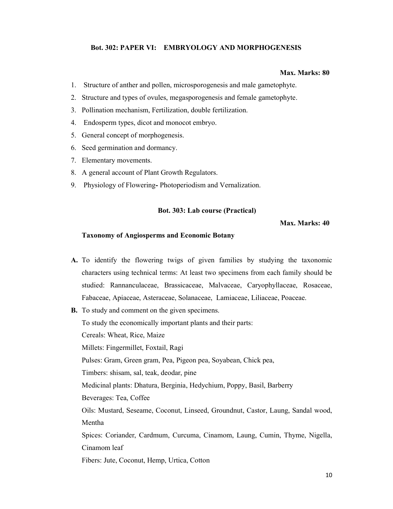#### Bot. 302: PAPER VI: EMBRYOLOGY AND MORPHOGENESIS

#### Max. Marks: 80

- 1. Structure of anther and pollen, microsporogenesis and male gametophyte.
- 2. Structure and types of ovules, megasporogenesis and female gametophyte.
- 3. Pollination mechanism, Fertilization, double fertilization.
- 4. Endosperm types, dicot and monocot embryo.
- 5. General concept of morphogenesis.
- 6. Seed germination and dormancy.
- 7. Elementary movements.
- 8. A general account of Plant Growth Regulators.
- 9. Physiology of Flowering- Photoperiodism and Vernalization.

#### Bot. 303: Lab course (Practical)

#### Max. Marks: 40

#### Taxonomy of Angiosperms and Economic Botany

- A. To identify the flowering twigs of given families by studying the taxonomic characters using technical terms: At least two specimens from each family should be studied: Rannanculaceae, Brassicaceae, Malvaceae, Caryophyllaceae, Rosaceae, Fabaceae, Apiaceae, Asteraceae, Solanaceae, Lamiaceae, Liliaceae, Poaceae.
- B. To study and comment on the given specimens.

To study the economically important plants and their parts:

Cereals: Wheat, Rice, Maize

Millets: Fingermillet, Foxtail, Ragi

Pulses: Gram, Green gram, Pea, Pigeon pea, Soyabean, Chick pea,

Timbers: shisam, sal, teak, deodar, pine

Medicinal plants: Dhatura, Berginia, Hedychium, Poppy, Basil, Barberry

Beverages: Tea, Coffee

Oils: Mustard, Seseame, Coconut, Linseed, Groundnut, Castor, Laung, Sandal wood, Mentha

Spices: Coriander, Cardmum, Curcuma, Cinamom, Laung, Cumin, Thyme, Nigella, Cinamom leaf

Fibers: Jute, Coconut, Hemp, Urtica, Cotton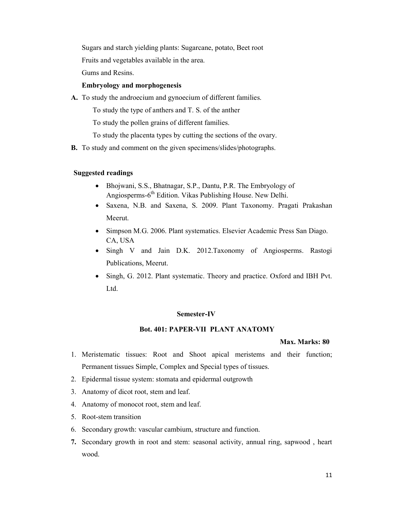Sugars and starch yielding plants: Sugarcane, potato, Beet root

Fruits and vegetables available in the area.

Gums and Resins.

#### Embryology and morphogenesis

A. To study the androecium and gynoecium of different families.

To study the type of anthers and T. S. of the anther

To study the pollen grains of different families.

To study the placenta types by cutting the sections of the ovary.

B. To study and comment on the given specimens/slides/photographs.

#### Suggested readings

- Bhojwani, S.S., Bhatnagar, S.P., Dantu, P.R. The Embryology of Angiosperms-6<sup>th</sup> Edition. Vikas Publishing House. New Delhi.
- Saxena, N.B. and Saxena, S. 2009. Plant Taxonomy. Pragati Prakashan Meerut.
- Simpson M.G. 2006. Plant systematics. Elsevier Academic Press San Diago. CA, USA
- Singh V and Jain D.K. 2012.Taxonomy of Angiosperms. Rastogi Publications, Meerut.
- Singh, G. 2012. Plant systematic. Theory and practice. Oxford and IBH Pvt. Ltd.

#### Semester-IV

#### Bot. 401: PAPER-VII PLANT ANATOMY

- 1. Meristematic tissues: Root and Shoot apical meristems and their function; Permanent tissues Simple, Complex and Special types of tissues.
- 2. Epidermal tissue system: stomata and epidermal outgrowth
- 3. Anatomy of dicot root, stem and leaf.
- 4. Anatomy of monocot root, stem and leaf.
- 5. Root-stem transition
- 6. Secondary growth: vascular cambium, structure and function.
- 7. Secondary growth in root and stem: seasonal activity, annual ring, sapwood , heart wood.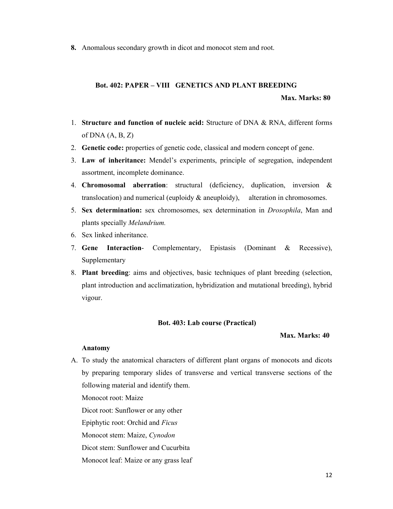8. Anomalous secondary growth in dicot and monocot stem and root.

## Bot. 402: PAPER – VIII GENETICS AND PLANT BREEDING

Max. Marks: 80

- 1. Structure and function of nucleic acid: Structure of DNA & RNA, different forms of  $DNA (A, B, Z)$
- 2. Genetic code: properties of genetic code, classical and modern concept of gene.
- 3. Law of inheritance: Mendel's experiments, principle of segregation, independent assortment, incomplete dominance.
- 4. Chromosomal aberration: structural (deficiency, duplication, inversion & translocation) and numerical (euploidy & aneuploidy), alteration in chromosomes.
- 5. Sex determination: sex chromosomes, sex determination in Drosophila, Man and plants specially Melandrium.
- 6. Sex linked inheritance.
- 7. Gene Interaction- Complementary, Epistasis (Dominant & Recessive), Supplementary
- 8. Plant breeding: aims and objectives, basic techniques of plant breeding (selection, plant introduction and acclimatization, hybridization and mutational breeding), hybrid vigour.

#### Bot. 403: Lab course (Practical)

#### Max. Marks: 40

#### Anatomy

A. To study the anatomical characters of different plant organs of monocots and dicots by preparing temporary slides of transverse and vertical transverse sections of the following material and identify them.

Monocot root: Maize

Dicot root: Sunflower or any other

Epiphytic root: Orchid and Ficus

Monocot stem: Maize, Cynodon

Dicot stem: Sunflower and Cucurbita

Monocot leaf: Maize or any grass leaf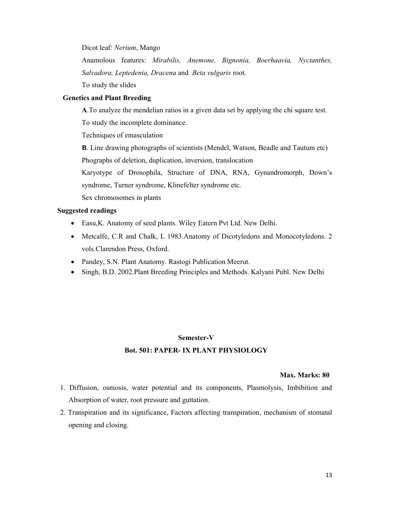Dicot leaf: Nerium, Mango

Anamolous features: Mirabilis, Anemone, Bignonia, Boerhaavia, Nyctanthes, Salvadora, Leptedenia, Dracena and Beta vulgaris root.

To study the slides

#### Genetics and Plant Breeding

A.To analyze the mendelian ratios in a given data set by applying the chi square test.

To study the incomplete dominance.

Techniques of emasculation

B. Line drawing photographs of scientists (Mendel, Watson, Beadle and Tautum etc) Phographs of deletion, duplication, inversion, translocation

Karyotype of Drosophila, Structure of DNA, RNA, Gynandromorph, Down's syndrome, Turner syndrome, Klinefelter syndrome etc.

Sex chromosomes in plants

#### Suggested readings

- Easu,K. Anatomy of seed plants. Wiley Eatern Pvt Ltd. New Delhi.
- Metcalfe, C.R and Chalk, L 1983. Anatomy of Dicotyledons and Monocotyledons. 2 vols.Clarendon Press, Oxford.
- Pandey, S.N. Plant Anatomy. Rastogi Publication Meerut.
- Singh, B.D. 2002. Plant Breeding Principles and Methods. Kalyani Publ. New Delhi

#### Semester-V

#### Bot. 501: PAPER- IX PLANT PHYSIOLOGY

- 1. Diffusion, osmosis, water potential and its components, Plasmolysis, Imbibition and Absorption of water, root pressure and guttation.
- 2. Transpiration and its significance, Factors affecting transpiration, mechanism of stomatal opening and closing.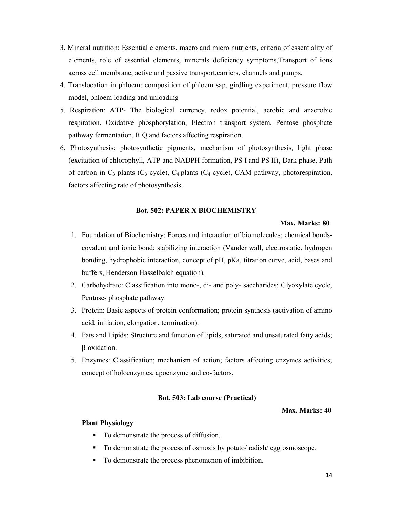- 3. Mineral nutrition: Essential elements, macro and micro nutrients, criteria of essentiality of elements, role of essential elements, minerals deficiency symptoms,Transport of ions across cell membrane, active and passive transport,carriers, channels and pumps.
- 4. Translocation in phloem: composition of phloem sap, girdling experiment, pressure flow model, phloem loading and unloading
- 5. Respiration: ATP- The biological currency, redox potential, aerobic and anaerobic respiration. Oxidative phosphorylation, Electron transport system, Pentose phosphate pathway fermentation, R.Q and factors affecting respiration.
- 6. Photosynthesis: photosynthetic pigments, mechanism of photosynthesis, light phase (excitation of chlorophyll, ATP and NADPH formation, PS I and PS II), Dark phase, Path of carbon in  $C_3$  plants ( $C_4$  cycle),  $C_4$  plants ( $C_4$  cycle), CAM pathway, photorespiration, factors affecting rate of photosynthesis.

#### Bot. 502: PAPER X BIOCHEMISTRY

#### Max. Marks: 80

- 1. Foundation of Biochemistry: Forces and interaction of biomolecules; chemical bondscovalent and ionic bond; stabilizing interaction (Vander wall, electrostatic, hydrogen bonding, hydrophobic interaction, concept of pH, pKa, titration curve, acid, bases and buffers, Henderson Hasselbalch equation).
- 2. Carbohydrate: Classification into mono-, di- and poly- saccharides; Glyoxylate cycle, Pentose- phosphate pathway.
- 3. Protein: Basic aspects of protein conformation; protein synthesis (activation of amino acid, initiation, elongation, termination).
- 4. Fats and Lipids: Structure and function of lipids, saturated and unsaturated fatty acids; β-oxidation.
- 5. Enzymes: Classification; mechanism of action; factors affecting enzymes activities; concept of holoenzymes, apoenzyme and co-factors.

#### Bot. 503: Lab course (Practical)

#### Max. Marks: 40

#### Plant Physiology

- $\blacksquare$  To demonstrate the process of diffusion.
- To demonstrate the process of osmosis by potato/ radish/ egg osmoscope.
- To demonstrate the process phenomenon of imbibition.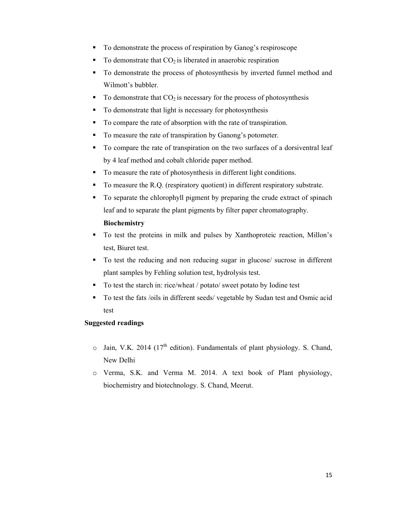- To demonstrate the process of respiration by Ganog's respiroscope
- To demonstrate that  $CO<sub>2</sub>$  is liberated in anaerobic respiration
- To demonstrate the process of photosynthesis by inverted funnel method and Wilmott's bubbler.
- $\blacksquare$  To demonstrate that CO<sub>2</sub> is necessary for the process of photosynthesis
- To demonstrate that light is necessary for photosynthesis
- To compare the rate of absorption with the rate of transpiration.
- To measure the rate of transpiration by Ganong's potometer.
- To compare the rate of transpiration on the two surfaces of a dorsiventral leaf by 4 leaf method and cobalt chloride paper method.
- To measure the rate of photosynthesis in different light conditions.
- To measure the R.Q. (respiratory quotient) in different respiratory substrate.
- To separate the chlorophyll pigment by preparing the crude extract of spinach leaf and to separate the plant pigments by filter paper chromatography.

### Biochemistry

- To test the proteins in milk and pulses by Xanthoproteic reaction, Millon's test, Biuret test.
- To test the reducing and non reducing sugar in glucose/ sucrose in different plant samples by Fehling solution test, hydrolysis test.
- To test the starch in: rice/wheat / potato/ sweet potato by Iodine test
- To test the fats /oils in different seeds/ vegetable by Sudan test and Osmic acid test

#### Suggested readings

- $\circ$  Jain, V.K. 2014 (17<sup>th</sup> edition). Fundamentals of plant physiology. S. Chand, New Delhi
- o Verma, S.K. and Verma M. 2014. A text book of Plant physiology, biochemistry and biotechnology. S. Chand, Meerut.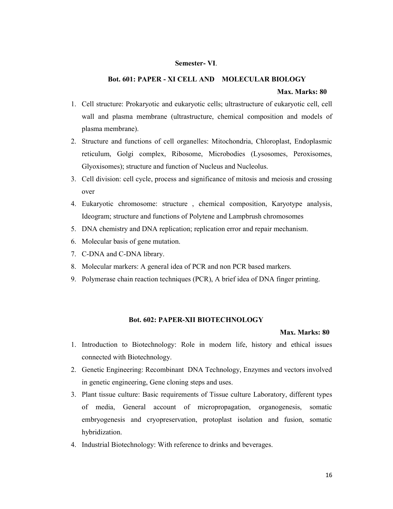#### Semester- VI.

### Bot. 601: PAPER - XI CELL AND MOLECULAR BIOLOGY

#### Max. Marks: 80

- 1. Cell structure: Prokaryotic and eukaryotic cells; ultrastructure of eukaryotic cell, cell wall and plasma membrane (ultrastructure, chemical composition and models of plasma membrane).
- 2. Structure and functions of cell organelles: Mitochondria, Chloroplast, Endoplasmic reticulum, Golgi complex, Ribosome, Microbodies (Lysosomes, Peroxisomes, Glyoxisomes); structure and function of Nucleus and Nucleolus.
- 3. Cell division: cell cycle, process and significance of mitosis and meiosis and crossing over
- 4. Eukaryotic chromosome: structure , chemical composition, Karyotype analysis, Ideogram; structure and functions of Polytene and Lampbrush chromosomes
- 5. DNA chemistry and DNA replication; replication error and repair mechanism.
- 6. Molecular basis of gene mutation.
- 7. C-DNA and C-DNA library.
- 8. Molecular markers: A general idea of PCR and non PCR based markers.
- 9. Polymerase chain reaction techniques (PCR), A brief idea of DNA finger printing.

#### Bot. 602: PAPER-XII BIOTECHNOLOGY

- 1. Introduction to Biotechnology: Role in modern life, history and ethical issues connected with Biotechnology.
- 2. Genetic Engineering: Recombinant DNA Technology, Enzymes and vectors involved in genetic engineering, Gene cloning steps and uses.
- 3. Plant tissue culture: Basic requirements of Tissue culture Laboratory, different types of media, General account of micropropagation, organogenesis, somatic embryogenesis and cryopreservation, protoplast isolation and fusion, somatic hybridization.
- 4. Industrial Biotechnology: With reference to drinks and beverages.